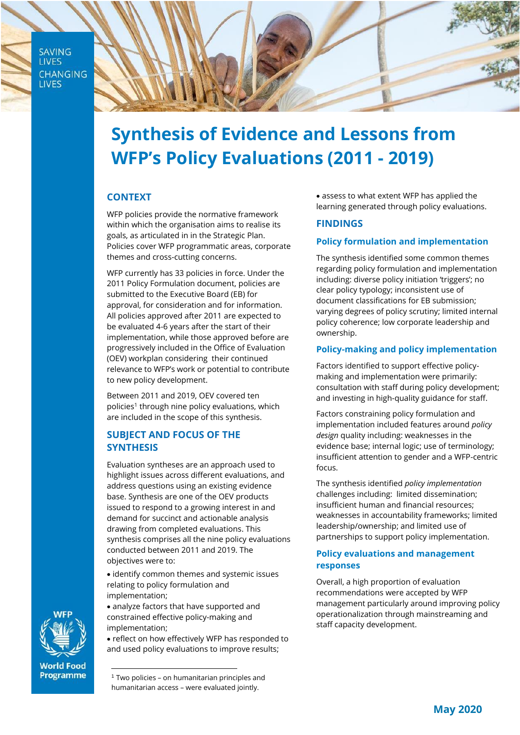**SAVING LIVES CHANGING LIVES** 



# **Synthesis of Evidence and Lessons from WFP's Policy Evaluations (2011 - 2019)**

# **CONTEXT**

WFP policies provide the normative framework within which the organisation aims to realise its goals, as articulated in in the Strategic Plan. Policies cover WFP programmatic areas, corporate themes and cross-cutting concerns.

WFP currently has 33 policies in force. Under the 2011 Policy Formulation document, policies are submitted to the Executive Board (EB) for approval, for consideration and for information. All policies approved after 2011 are expected to be evaluated 4-6 years after the start of their implementation, while those approved before are progressively included in the Office of Evaluation (OEV) workplan considering their continued relevance to WFP's work or potential to contribute to new policy development.

Between 2011 and 2019, OEV covered ten policies<sup>1</sup> through nine policy evaluations, which are included in the scope of this synthesis.

# **SUBJECT AND FOCUS OF THE SYNTHESIS**

Evaluation syntheses are an approach used to highlight issues across different evaluations, and address questions using an existing evidence base. Synthesis are one of the OEV products issued to respond to a growing interest in and demand for succinct and actionable analysis drawing from completed evaluations. This synthesis comprises all the nine policy evaluations conducted between 2011 and 2019. The objectives were to:

• identify common themes and systemic issues relating to policy formulation and implementation;

• analyze factors that have supported and constrained effective policy-making and implementation;

• reflect on how effectively WFP has responded to and used policy evaluations to improve results;

• assess to what extent WFP has applied the learning generated through policy evaluations.

## **FINDINGS**

## **Policy formulation and implementation**

The synthesis identified some common themes regarding policy formulation and implementation including: diverse policy initiation 'triggers'; no clear policy typology; inconsistent use of document classifications for EB submission; varying degrees of policy scrutiny; limited internal policy coherence; low corporate leadership and ownership.

## **Policy-making and policy implementation**

Factors identified to support effective policymaking and implementation were primarily: consultation with staff during policy development; and investing in high-quality guidance for staff.

Factors constraining policy formulation and implementation included features around *policy design* quality including: weaknesses in the evidence base; internal logic; use of terminology; insufficient attention to gender and a WFP-centric focus.

The synthesis identified *policy implementation* challenges including: limited dissemination; insufficient human and financial resources; weaknesses in accountability frameworks; limited leadership/ownership; and limited use of partnerships to support policy implementation.

## **Policy evaluations and management responses**

Overall, a high proportion of evaluation recommendations were accepted by WFP management particularly around improving policy operationalization through mainstreaming and staff capacity development.



**World Food Programme** 

 $1$  Two policies – on humanitarian principles and humanitarian access – were evaluated jointly.